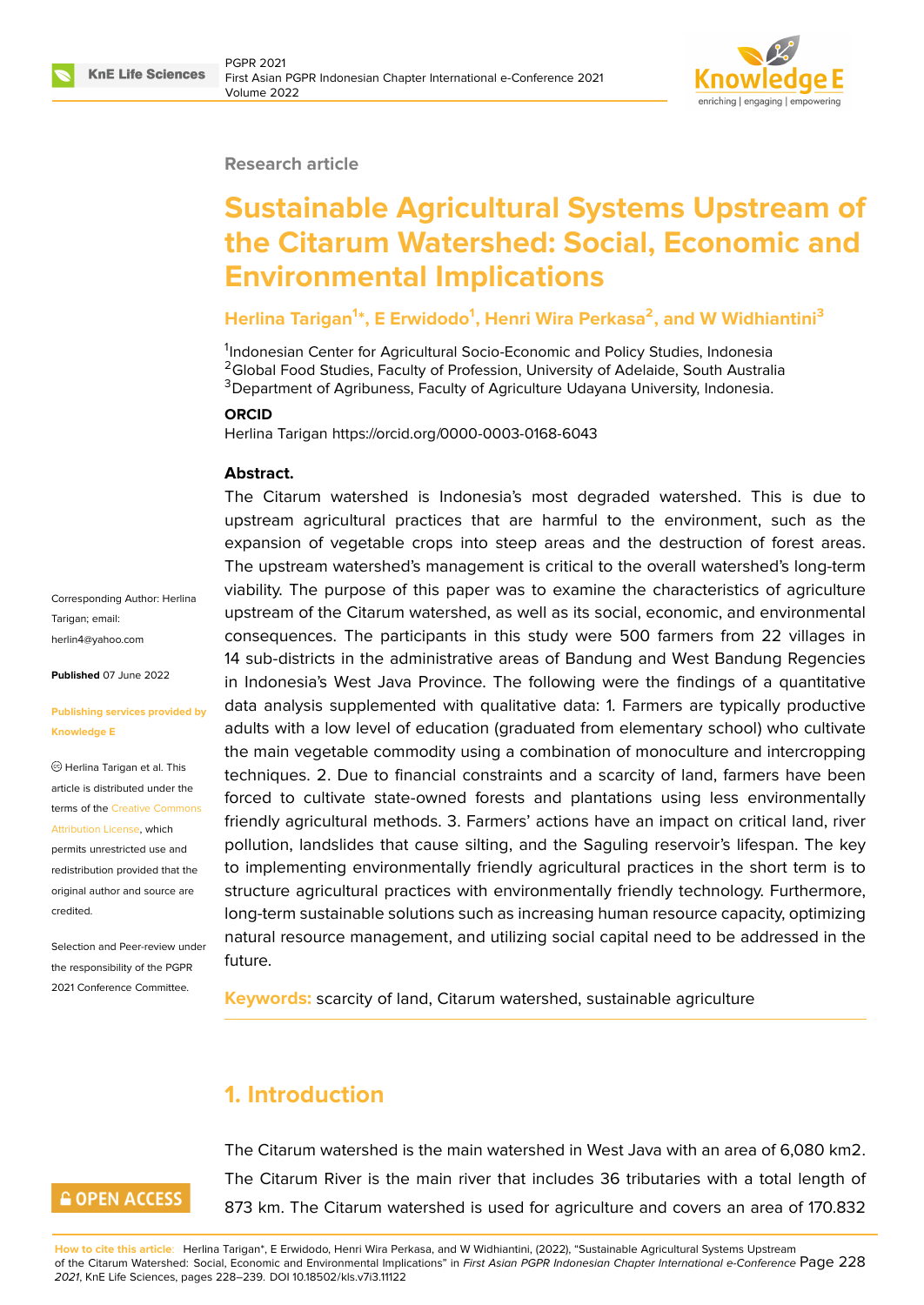

#### **Research article**

# **Sustainable Agricultural Systems Upstream of the Citarum Watershed: Social, Economic and Environmental Implications**

### **Herlina Tarigan<sup>1</sup> \*, E Erwidodo<sup>1</sup> , Henri Wira Perkasa<sup>2</sup> , and W Widhiantini<sup>3</sup>**

<sup>1</sup>Indonesian Center for Agricultural Socio-Economic and Policy Studies, Indonesia <sup>2</sup>Global Food Studies, Faculty of Profession, University of Adelaide, South Australia <sup>3</sup>Department of Agribuness, Faculty of Agriculture Udayana University, Indonesia.

#### **ORCID**

Herlina Tarigan https://orcid.org/0000-0003-0168-6043

#### **Abstract.**

Corresponding Author: Herlina Tarigan; email: herlin4@yahoo.com

**Published** 07 June 2022

#### **[Publishing services](mailto:herlin4@yahoo.com) provided by Knowledge E**

Herlina Tarigan et al. This article is distributed under the terms of the Creative Commons Attribution License, which

permits unrestricted use and redistribution provided that the original auth[or and source are](https://creativecommons.org/licenses/by/4.0/) [credited.](https://creativecommons.org/licenses/by/4.0/)

Selection and Peer-review under the responsibility of the PGPR 2021 Conference Committee.

The Citarum watershed is Indonesia's most degraded watershed. This is due to upstream agricultural practices that are harmful to the environment, such as the expansion of vegetable crops into steep areas and the destruction of forest areas. The upstream watershed's management is critical to the overall watershed's long-term viability. The purpose of this paper was to examine the characteristics of agriculture upstream of the Citarum watershed, as well as its social, economic, and environmental consequences. The participants in this study were 500 farmers from 22 villages in 14 sub-districts in the administrative areas of Bandung and West Bandung Regencies in Indonesia's West Java Province. The following were the findings of a quantitative data analysis supplemented with qualitative data: 1. Farmers are typically productive adults with a low level of education (graduated from elementary school) who cultivate the main vegetable commodity using a combination of monoculture and intercropping techniques. 2. Due to financial constraints and a scarcity of land, farmers have been forced to cultivate state-owned forests and plantations using less environmentally friendly agricultural methods. 3. Farmers' actions have an impact on critical land, river pollution, landslides that cause silting, and the Saguling reservoir's lifespan. The key to implementing environmentally friendly agricultural practices in the short term is to structure agricultural practices with environmentally friendly technology. Furthermore, long-term sustainable solutions such as increasing human resource capacity, optimizing natural resource management, and utilizing social capital need to be addressed in the future.

**Keywords:** scarcity of land, Citarum watershed, sustainable agriculture

# **1. Introduction**

# **GOPEN ACCESS**

The Citarum watershed is the main watershed in West Java with an area of 6,080 km2. The Citarum River is the main river that includes 36 tributaries with a total length of 873 km. The Citarum watershed is used for agriculture and covers an area of 170.832

**How to cite this article**: Herlina Tarigan\*, E Erwidodo, Henri Wira Perkasa, and W Widhiantini, (2022), "Sustainable Agricultural Systems Upstream of the Citarum Watershed: Social, Economic and Environmental Implications" in *First Asian PGPR Indonesian Chapter International e-Conference* Page 228 *2021*, KnE Life Sciences, pages 228–239. DOI 10.18502/kls.v7i3.11122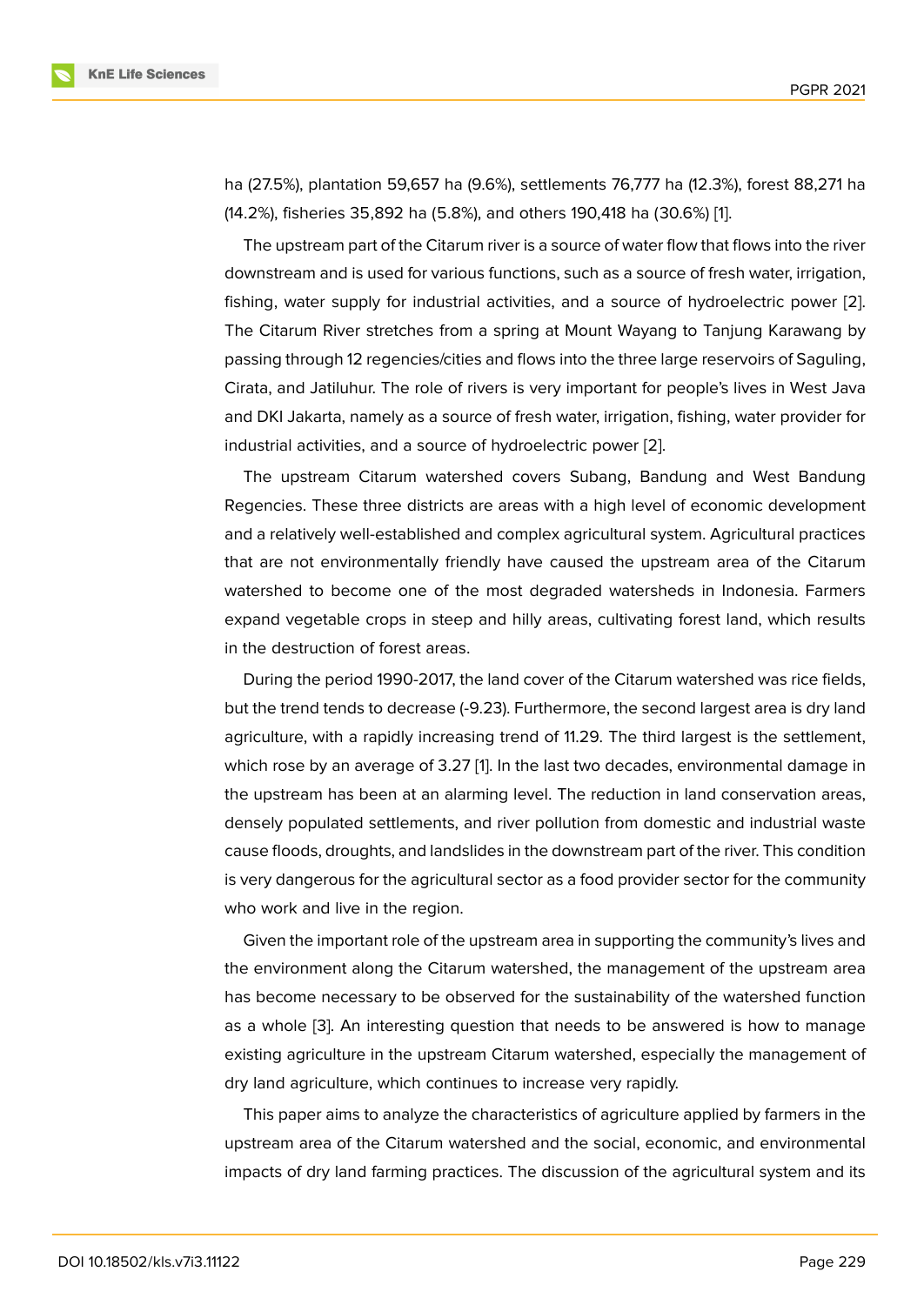ha (27.5%), plantation 59,657 ha (9.6%), settlements 76,777 ha (12.3%), forest 88,271 ha (14.2%), fisheries 35,892 ha (5.8%), and others 190,418 ha (30.6%) [1].

The upstream part of the Citarum river is a source of water flow that flows into the river downstream and is used for various functions, such as a source of fresh water, irrigation, fishing, water supply for industrial activities, and a source of hyd[ro](#page-9-0)electric power [2]. The Citarum River stretches from a spring at Mount Wayang to Tanjung Karawang by passing through 12 regencies/cities and flows into the three large reservoirs of Saguling, Cirata, and Jatiluhur. The role of rivers is very important for people's lives in West J[ava](#page-9-1) and DKI Jakarta, namely as a source of fresh water, irrigation, fishing, water provider for industrial activities, and a source of hydroelectric power [2].

The upstream Citarum watershed covers Subang, Bandung and West Bandung Regencies. These three districts are areas with a high level of economic development and a relatively well-established and complex agricultural [s](#page-9-1)ystem. Agricultural practices that are not environmentally friendly have caused the upstream area of the Citarum watershed to become one of the most degraded watersheds in Indonesia. Farmers expand vegetable crops in steep and hilly areas, cultivating forest land, which results in the destruction of forest areas.

During the period 1990-2017, the land cover of the Citarum watershed was rice fields, but the trend tends to decrease (-9.23). Furthermore, the second largest area is dry land agriculture, with a rapidly increasing trend of 11.29. The third largest is the settlement, which rose by an average of 3.27 [1]. In the last two decades, environmental damage in the upstream has been at an alarming level. The reduction in land conservation areas, densely populated settlements, and river pollution from domestic and industrial waste cause floods, droughts, and landsli[d](#page-9-0)es in the downstream part of the river. This condition is very dangerous for the agricultural sector as a food provider sector for the community who work and live in the region.

Given the important role of the upstream area in supporting the community's lives and the environment along the Citarum watershed, the management of the upstream area has become necessary to be observed for the sustainability of the watershed function as a whole [3]. An interesting question that needs to be answered is how to manage existing agriculture in the upstream Citarum watershed, especially the management of dry land agriculture, which continues to increase very rapidly.

This pape[r a](#page-9-2)ims to analyze the characteristics of agriculture applied by farmers in the upstream area of the Citarum watershed and the social, economic, and environmental impacts of dry land farming practices. The discussion of the agricultural system and its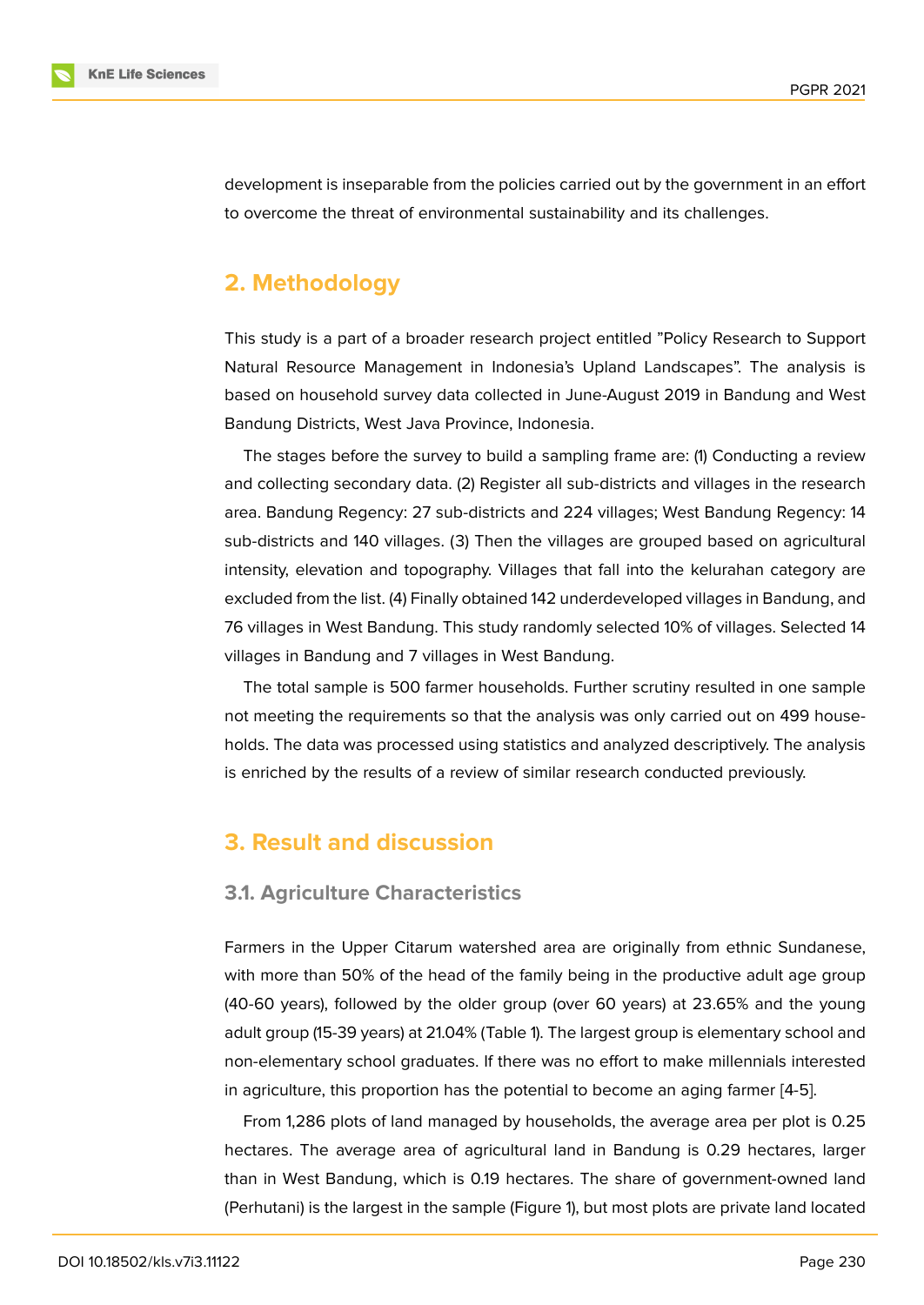development is inseparable from the policies carried out by the government in an effort to overcome the threat of environmental sustainability and its challenges.

# **2. Methodology**

This study is a part of a broader research project entitled "Policy Research to Support Natural Resource Management in Indonesia's Upland Landscapes". The analysis is based on household survey data collected in June-August 2019 in Bandung and West Bandung Districts, West Java Province, Indonesia.

The stages before the survey to build a sampling frame are: (1) Conducting a review and collecting secondary data. (2) Register all sub-districts and villages in the research area. Bandung Regency: 27 sub-districts and 224 villages; West Bandung Regency: 14 sub-districts and 140 villages. (3) Then the villages are grouped based on agricultural intensity, elevation and topography. Villages that fall into the kelurahan category are excluded from the list. (4) Finally obtained 142 underdeveloped villages in Bandung, and 76 villages in West Bandung. This study randomly selected 10% of villages. Selected 14 villages in Bandung and 7 villages in West Bandung.

The total sample is 500 farmer households. Further scrutiny resulted in one sample not meeting the requirements so that the analysis was only carried out on 499 households. The data was processed using statistics and analyzed descriptively. The analysis is enriched by the results of a review of similar research conducted previously.

# **3. Result and discussion**

### **3.1. Agriculture Characteristics**

Farmers in the Upper Citarum watershed area are originally from ethnic Sundanese, with more than 50% of the head of the family being in the productive adult age group (40-60 years), followed by the older group (over 60 years) at 23.65% and the young adult group (15-39 years) at 21.04% (Table 1). The largest group is elementary school and non-elementary school graduates. If there was no effort to make millennials interested in agriculture, this proportion has the potential to become an aging farmer [4-5].

From 1,286 plots of land managed by households, the average area per plot is 0.25 hectares. The average area of agricultural land in Bandung is 0.29 hectares, larger than in West Bandung, which is 0.19 hectares. The share of government-owned land (Perhutani) is the largest in the sample (Figure 1), but most plots are private land located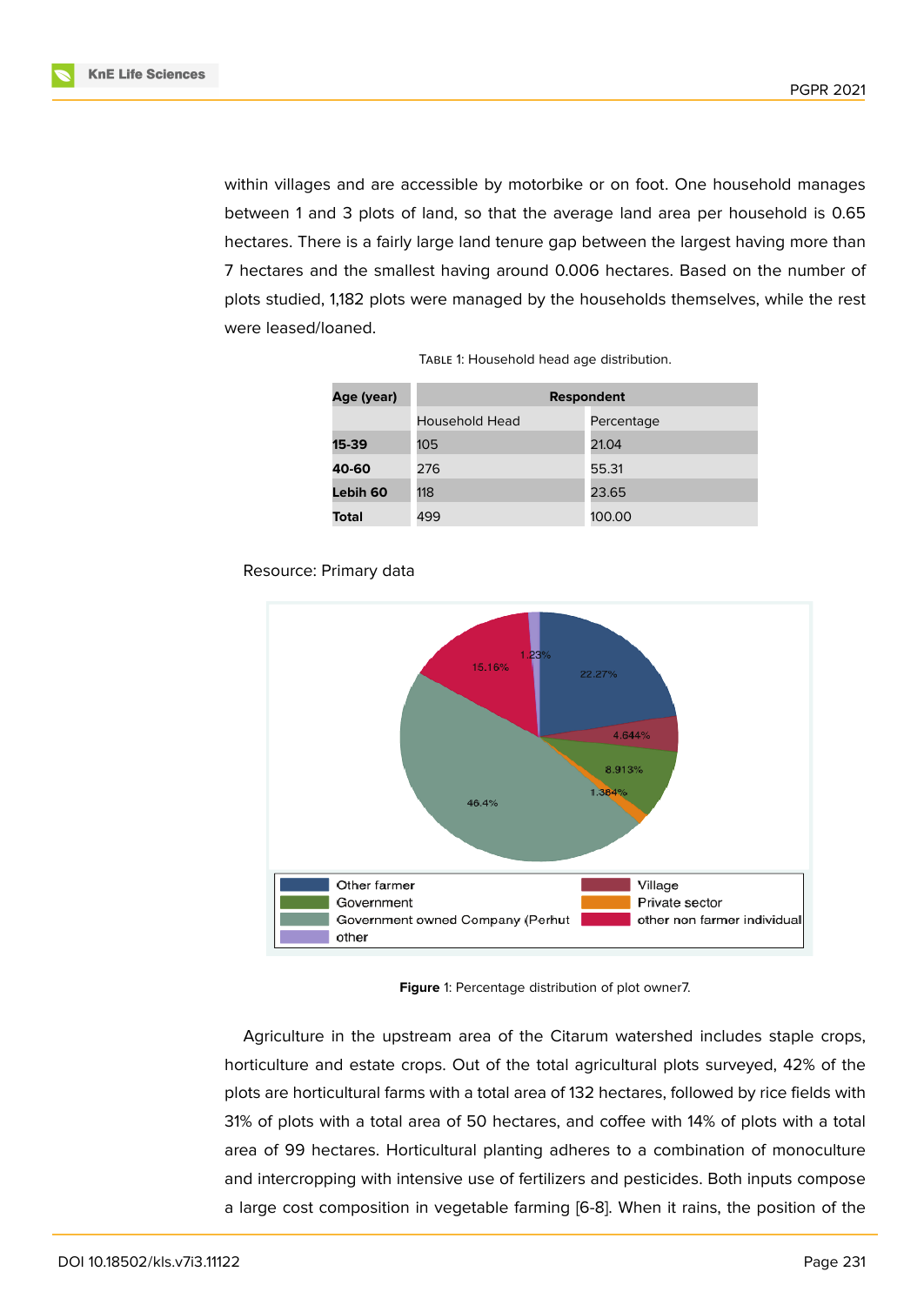

within villages and are accessible by motorbike or on foot. One household manages between 1 and 3 plots of land, so that the average land area per household is 0.65 hectares. There is a fairly large land tenure gap between the largest having more than 7 hectares and the smallest having around 0.006 hectares. Based on the number of plots studied, 1,182 plots were managed by the households themselves, while the rest were leased/loaned.

| Age (year) | <b>Respondent</b> |            |  |
|------------|-------------------|------------|--|
|            | Household Head    | Percentage |  |
| 15-39      | 105               | 21.04      |  |
| 40-60      | 276               | 55.31      |  |
| Lebih 60   | 118               | 23.65      |  |
| Total      | 499               | 100.00     |  |

| TABLE 1: Household head age distribution. |  |  |
|-------------------------------------------|--|--|
|-------------------------------------------|--|--|





**Figure** 1: Percentage distribution of plot owner7.

Agriculture in the upstream area of the Citarum watershed includes staple crops, horticulture and estate crops. Out of the total agricultural plots surveyed, 42% of the plots are horticultural farms with a total area of 132 hectares, followed by rice fields with 31% of plots with a total area of 50 hectares, and coffee with 14% of plots with a total area of 99 hectares. Horticultural planting adheres to a combination of monoculture and intercropping with intensive use of fertilizers and pesticides. Both inputs compose a large cost composition in vegetable farming [6-8]. When it rains, the position of the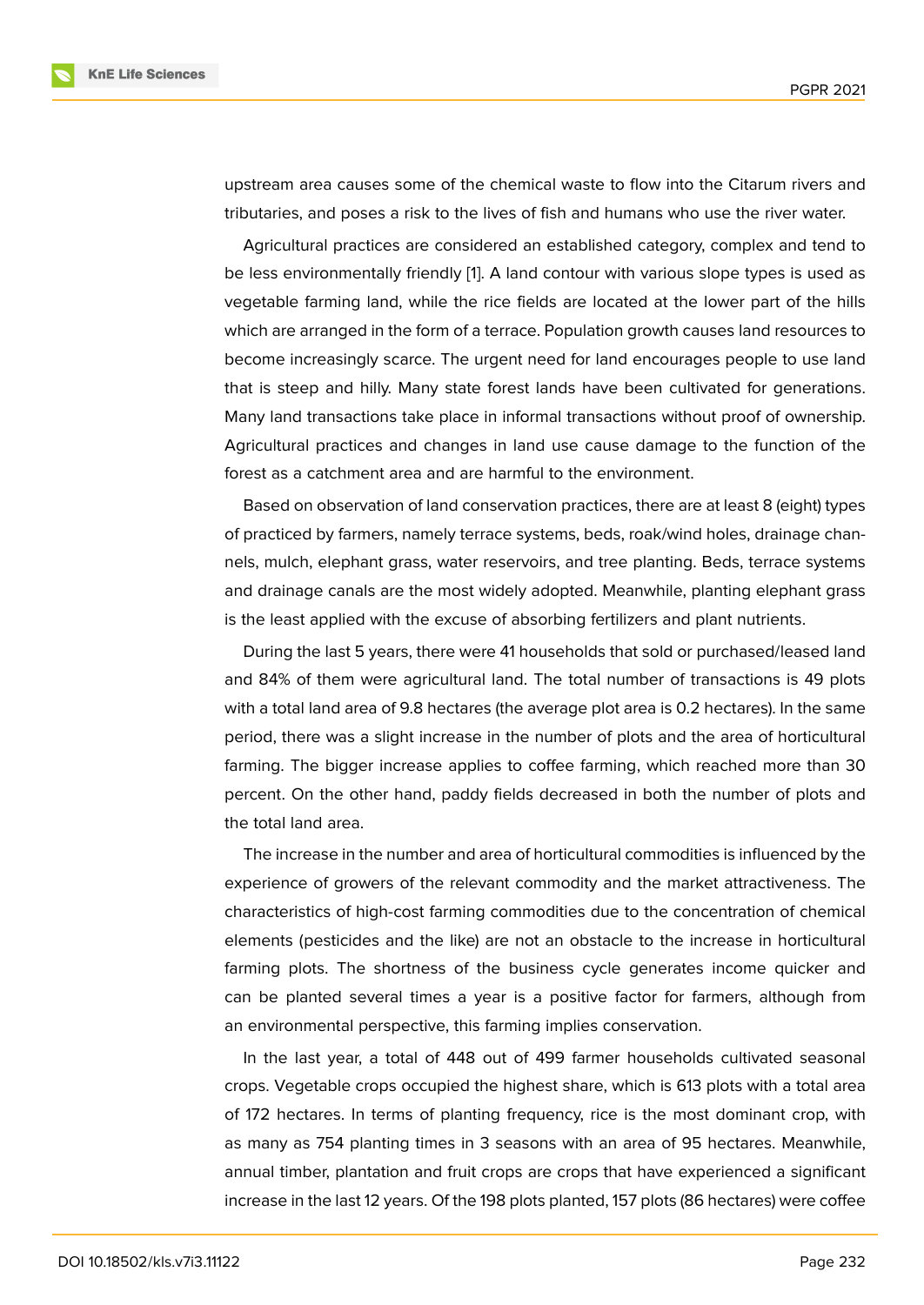upstream area causes some of the chemical waste to flow into the Citarum rivers and tributaries, and poses a risk to the lives of fish and humans who use the river water.

Agricultural practices are considered an established category, complex and tend to be less environmentally friendly [1]. A land contour with various slope types is used as vegetable farming land, while the rice fields are located at the lower part of the hills which are arranged in the form of a terrace. Population growth causes land resources to become increasingly scarce. The [u](#page-9-0)rgent need for land encourages people to use land that is steep and hilly. Many state forest lands have been cultivated for generations. Many land transactions take place in informal transactions without proof of ownership. Agricultural practices and changes in land use cause damage to the function of the forest as a catchment area and are harmful to the environment.

Based on observation of land conservation practices, there are at least 8 (eight) types of practiced by farmers, namely terrace systems, beds, roak/wind holes, drainage channels, mulch, elephant grass, water reservoirs, and tree planting. Beds, terrace systems and drainage canals are the most widely adopted. Meanwhile, planting elephant grass is the least applied with the excuse of absorbing fertilizers and plant nutrients.

During the last 5 years, there were 41 households that sold or purchased/leased land and 84% of them were agricultural land. The total number of transactions is 49 plots with a total land area of 9.8 hectares (the average plot area is 0.2 hectares). In the same period, there was a slight increase in the number of plots and the area of horticultural farming. The bigger increase applies to coffee farming, which reached more than 30 percent. On the other hand, paddy fields decreased in both the number of plots and the total land area.

The increase in the number and area of horticultural commodities is influenced by the experience of growers of the relevant commodity and the market attractiveness. The characteristics of high-cost farming commodities due to the concentration of chemical elements (pesticides and the like) are not an obstacle to the increase in horticultural farming plots. The shortness of the business cycle generates income quicker and can be planted several times a year is a positive factor for farmers, although from an environmental perspective, this farming implies conservation.

In the last year, a total of 448 out of 499 farmer households cultivated seasonal crops. Vegetable crops occupied the highest share, which is 613 plots with a total area of 172 hectares. In terms of planting frequency, rice is the most dominant crop, with as many as 754 planting times in 3 seasons with an area of 95 hectares. Meanwhile, annual timber, plantation and fruit crops are crops that have experienced a significant increase in the last 12 years. Of the 198 plots planted, 157 plots (86 hectares) were coffee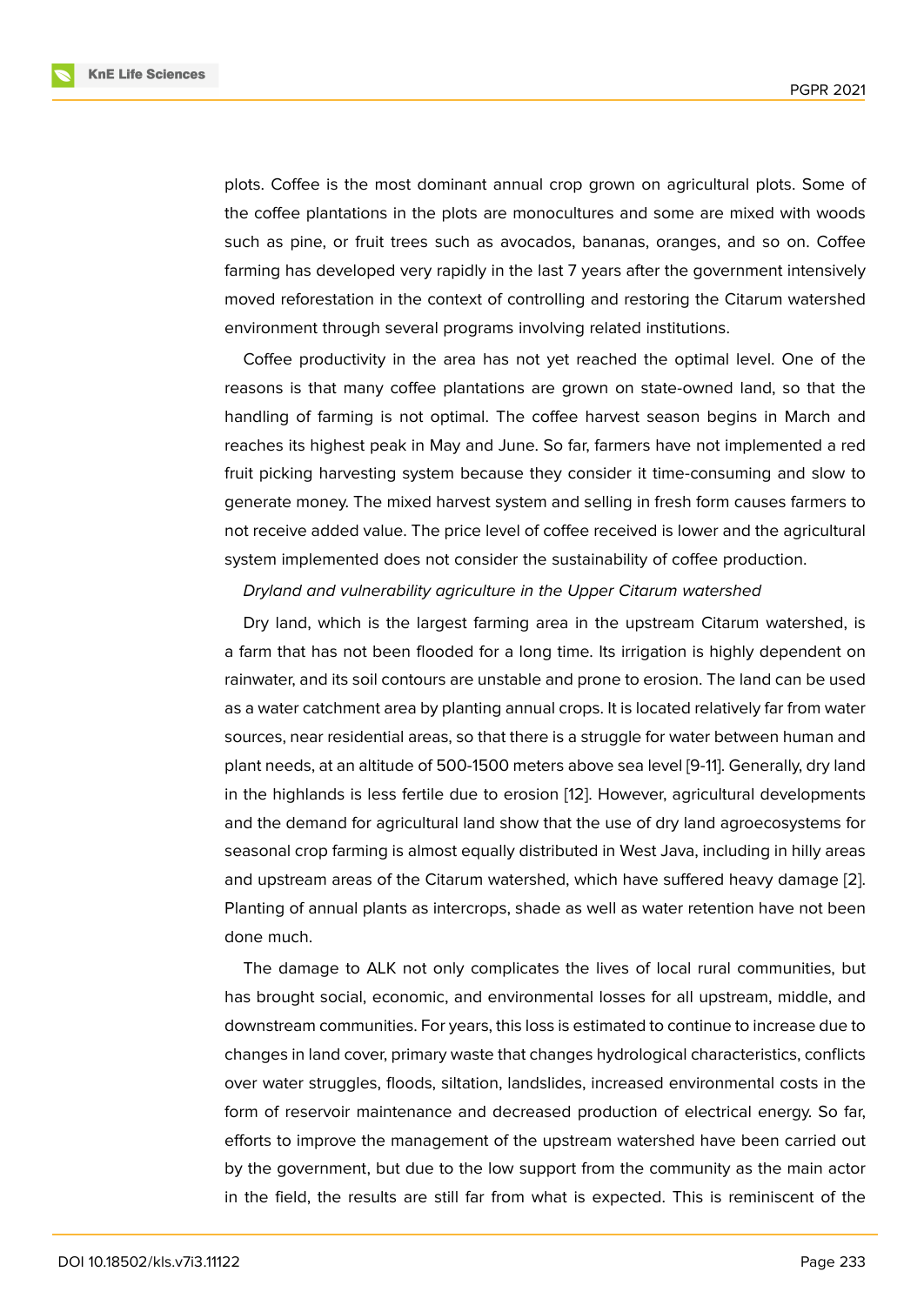plots. Coffee is the most dominant annual crop grown on agricultural plots. Some of the coffee plantations in the plots are monocultures and some are mixed with woods such as pine, or fruit trees such as avocados, bananas, oranges, and so on. Coffee farming has developed very rapidly in the last 7 years after the government intensively moved reforestation in the context of controlling and restoring the Citarum watershed environment through several programs involving related institutions.

Coffee productivity in the area has not yet reached the optimal level. One of the reasons is that many coffee plantations are grown on state-owned land, so that the handling of farming is not optimal. The coffee harvest season begins in March and reaches its highest peak in May and June. So far, farmers have not implemented a red fruit picking harvesting system because they consider it time-consuming and slow to generate money. The mixed harvest system and selling in fresh form causes farmers to not receive added value. The price level of coffee received is lower and the agricultural system implemented does not consider the sustainability of coffee production.

*Dryland and vulnerability agriculture in the Upper Citarum watershed*

Dry land, which is the largest farming area in the upstream Citarum watershed, is a farm that has not been flooded for a long time. Its irrigation is highly dependent on rainwater, and its soil contours are unstable and prone to erosion. The land can be used as a water catchment area by planting annual crops. It is located relatively far from water sources, near residential areas, so that there is a struggle for water between human and plant needs, at an altitude of 500-1500 meters above sea level [9-11]. Generally, dry land in the highlands is less fertile due to erosion [12]. However, agricultural developments and the demand for agricultural land show that the use of dry land agroecosystems for seasonal crop farming is almost equally distributed in West Java, including in hilly areas and upstream areas of the Citarum watershed[, w](#page-10-0)hich have suffered heavy damage [2]. Planting of annual plants as intercrops, shade as well as water retention have not been done much.

The damage to ALK not only complicates the lives of local rural communities, [bu](#page-9-1)t has brought social, economic, and environmental losses for all upstream, middle, and downstream communities. For years, this loss is estimated to continue to increase due to changes in land cover, primary waste that changes hydrological characteristics, conflicts over water struggles, floods, siltation, landslides, increased environmental costs in the form of reservoir maintenance and decreased production of electrical energy. So far, efforts to improve the management of the upstream watershed have been carried out by the government, but due to the low support from the community as the main actor in the field, the results are still far from what is expected. This is reminiscent of the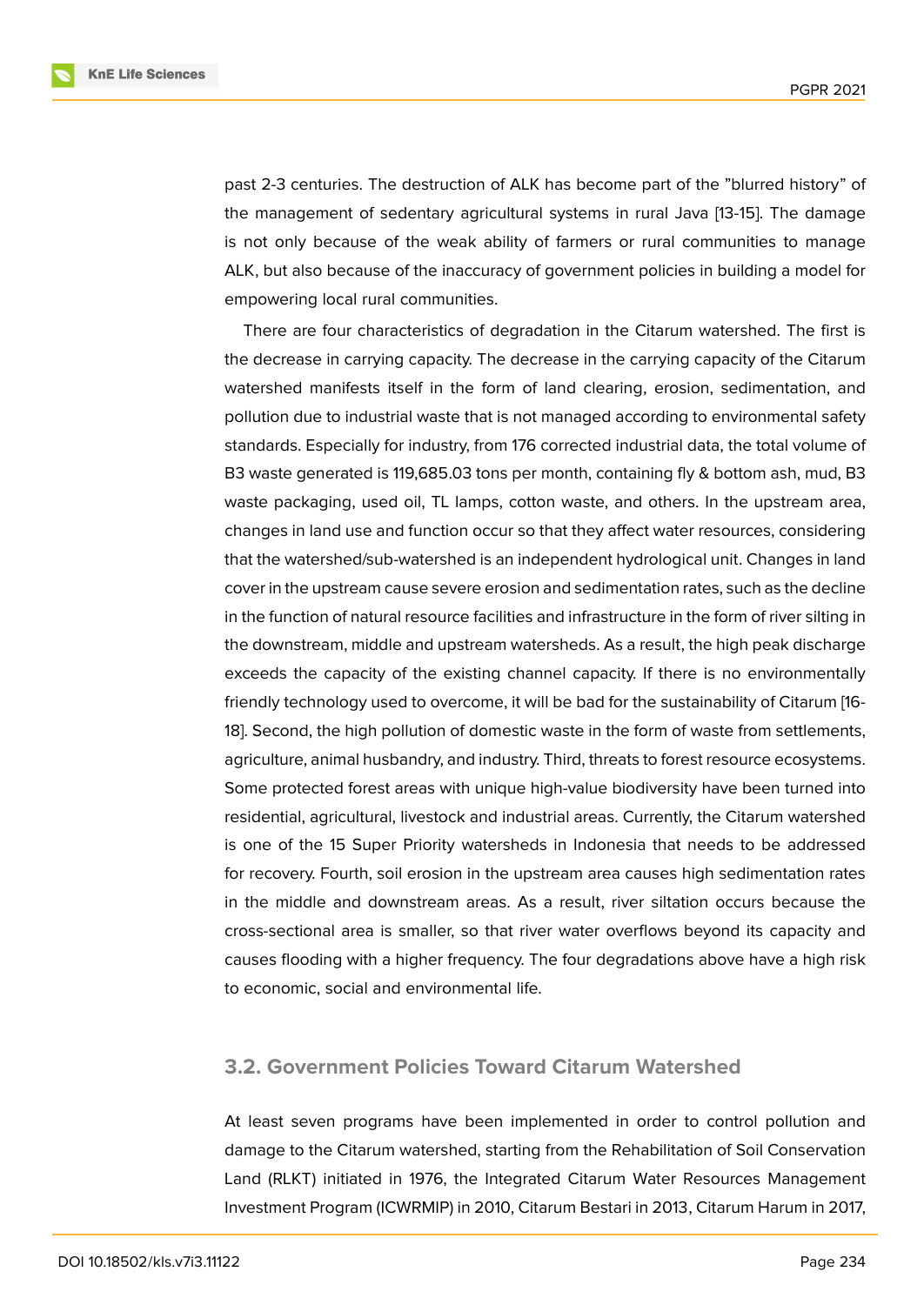**KnE Life Sciences** 

past 2-3 centuries. The destruction of ALK has become part of the "blurred history" of the management of sedentary agricultural systems in rural Java [13-15]. The damage is not only because of the weak ability of farmers or rural communities to manage ALK, but also because of the inaccuracy of government policies in building a model for empowering local rural communities.

There are four characteristics of degradation in the Citarum watershed. The first is the decrease in carrying capacity. The decrease in the carrying capacity of the Citarum watershed manifests itself in the form of land clearing, erosion, sedimentation, and pollution due to industrial waste that is not managed according to environmental safety standards. Especially for industry, from 176 corrected industrial data, the total volume of B3 waste generated is 119,685.03 tons per month, containing fly & bottom ash, mud, B3 waste packaging, used oil, TL lamps, cotton waste, and others. In the upstream area, changes in land use and function occur so that they affect water resources, considering that the watershed/sub-watershed is an independent hydrological unit. Changes in land cover in the upstream cause severe erosion and sedimentation rates, such as the decline in the function of natural resource facilities and infrastructure in the form of river silting in the downstream, middle and upstream watersheds. As a result, the high peak discharge exceeds the capacity of the existing channel capacity. If there is no environmentally friendly technology used to overcome, it will be bad for the sustainability of Citarum [16- 18]. Second, the high pollution of domestic waste in the form of waste from settlements, agriculture, animal husbandry, and industry. Third, threats to forest resource ecosystems. Some protected forest areas with unique high-value biodiversity have been turned into residential, agricultural, livestock and industrial areas. Currently, the Citarum watershed is one of the 15 Super Priority watersheds in Indonesia that needs to be addressed for recovery. Fourth, soil erosion in the upstream area causes high sedimentation rates in the middle and downstream areas. As a result, river siltation occurs because the cross-sectional area is smaller, so that river water overflows beyond its capacity and causes flooding with a higher frequency. The four degradations above have a high risk to economic, social and environmental life.

### **3.2. Government Policies Toward Citarum Watershed**

At least seven programs have been implemented in order to control pollution and damage to the Citarum watershed, starting from the Rehabilitation of Soil Conservation Land (RLKT) initiated in 1976, the Integrated Citarum Water Resources Management Investment Program (ICWRMIP) in 2010, Citarum Bestari in 2013, Citarum Harum in 2017,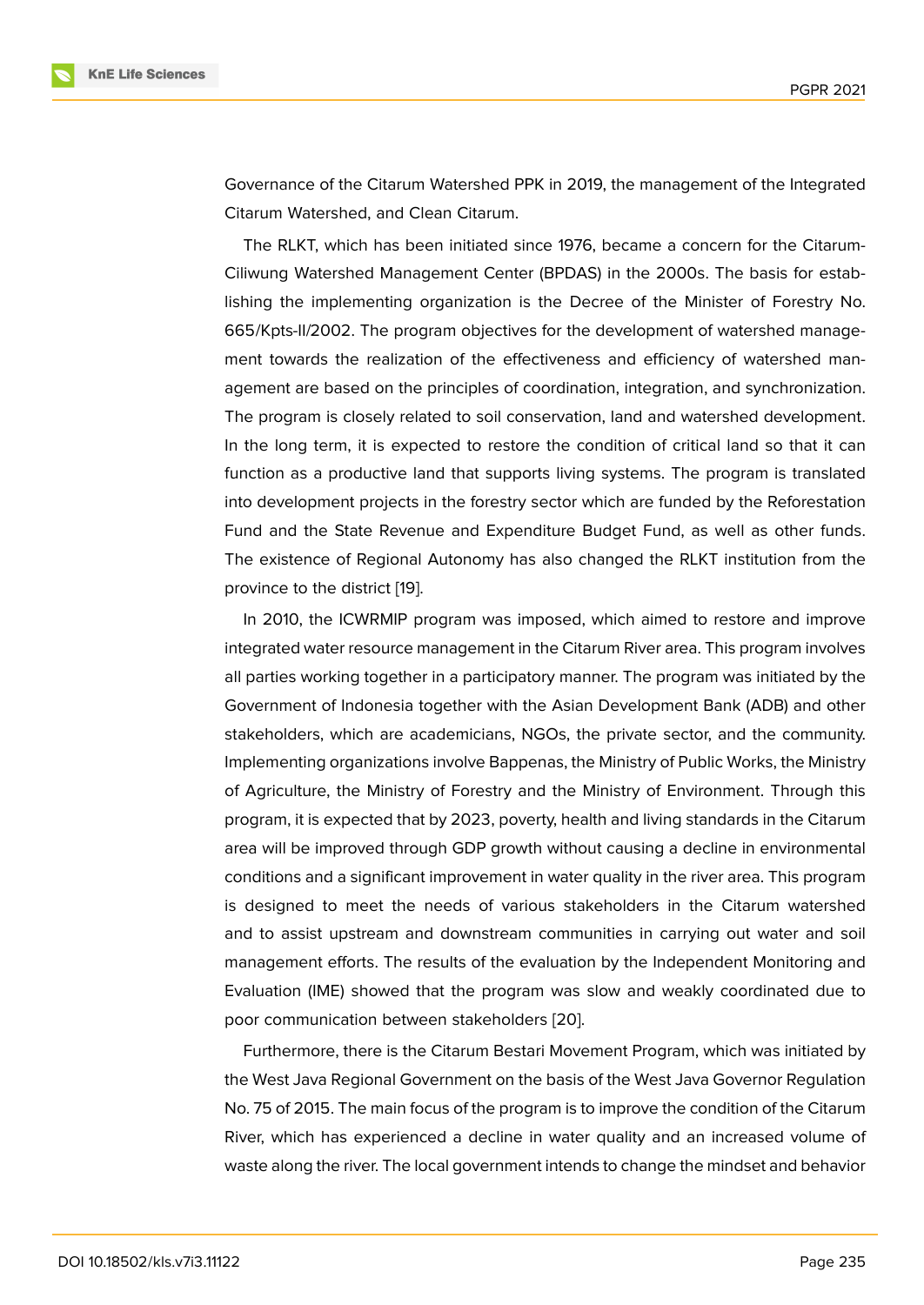Governance of the Citarum Watershed PPK in 2019, the management of the Integrated Citarum Watershed, and Clean Citarum.

The RLKT, which has been initiated since 1976, became a concern for the Citarum-Ciliwung Watershed Management Center (BPDAS) in the 2000s. The basis for establishing the implementing organization is the Decree of the Minister of Forestry No. 665/Kpts-II/2002. The program objectives for the development of watershed management towards the realization of the effectiveness and efficiency of watershed management are based on the principles of coordination, integration, and synchronization. The program is closely related to soil conservation, land and watershed development. In the long term, it is expected to restore the condition of critical land so that it can function as a productive land that supports living systems. The program is translated into development projects in the forestry sector which are funded by the Reforestation Fund and the State Revenue and Expenditure Budget Fund, as well as other funds. The existence of Regional Autonomy has also changed the RLKT institution from the province to the district [19].

In 2010, the ICWRMIP program was imposed, which aimed to restore and improve integrated water resource management in the Citarum River area. This program involves all parties working toge[the](#page-11-0)r in a participatory manner. The program was initiated by the Government of Indonesia together with the Asian Development Bank (ADB) and other stakeholders, which are academicians, NGOs, the private sector, and the community. Implementing organizations involve Bappenas, the Ministry of Public Works, the Ministry of Agriculture, the Ministry of Forestry and the Ministry of Environment. Through this program, it is expected that by 2023, poverty, health and living standards in the Citarum area will be improved through GDP growth without causing a decline in environmental conditions and a significant improvement in water quality in the river area. This program is designed to meet the needs of various stakeholders in the Citarum watershed and to assist upstream and downstream communities in carrying out water and soil management efforts. The results of the evaluation by the Independent Monitoring and Evaluation (IME) showed that the program was slow and weakly coordinated due to poor communication between stakeholders [20].

Furthermore, there is the Citarum Bestari Movement Program, which was initiated by the West Java Regional Government on the basis of the West Java Governor Regulation No. 75 of 2015. The main focus of the progra[m is](#page-11-1) to improve the condition of the Citarum River, which has experienced a decline in water quality and an increased volume of waste along the river. The local government intends to change the mindset and behavior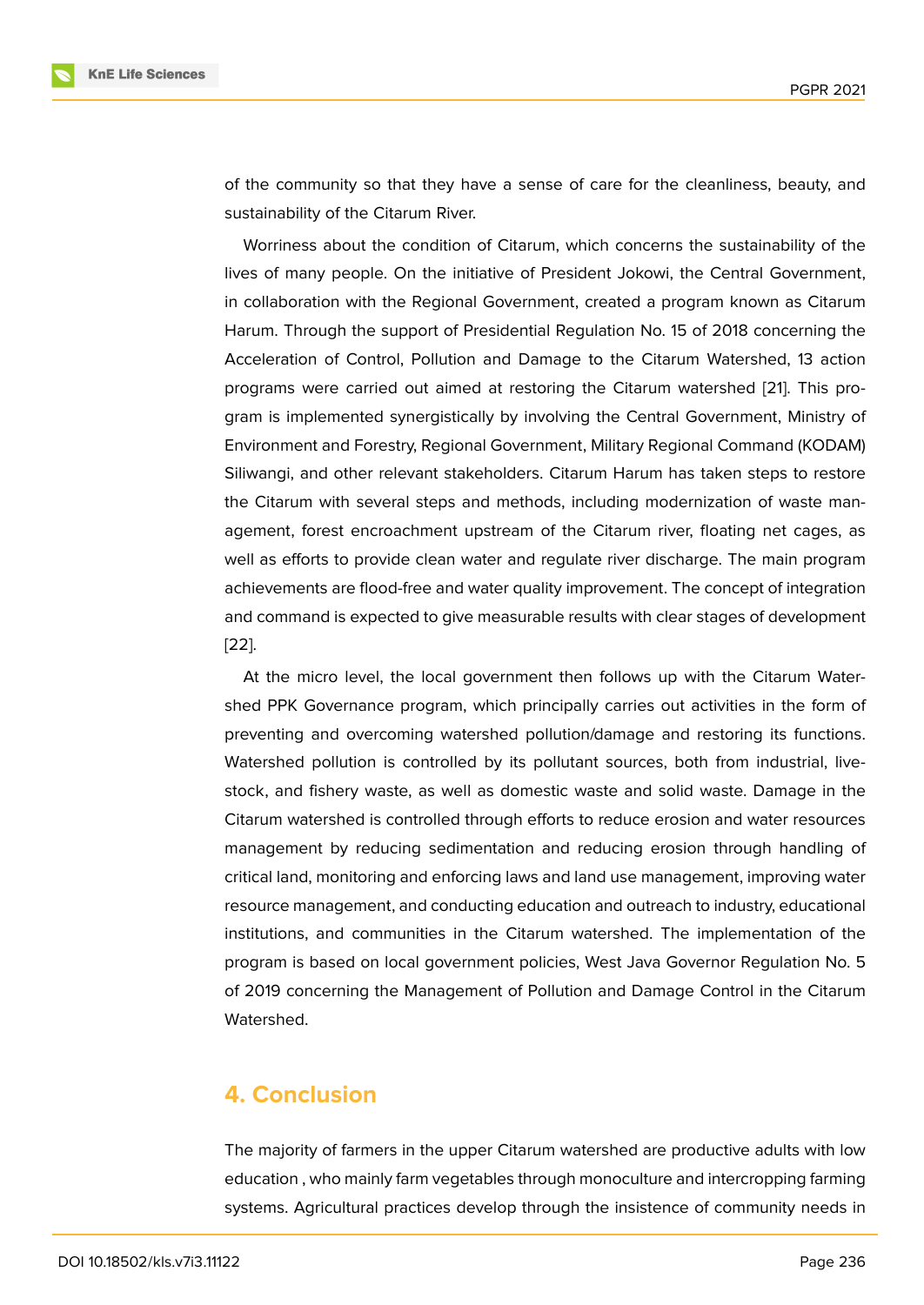of the community so that they have a sense of care for the cleanliness, beauty, and sustainability of the Citarum River.

Worriness about the condition of Citarum, which concerns the sustainability of the lives of many people. On the initiative of President Jokowi, the Central Government, in collaboration with the Regional Government, created a program known as Citarum Harum. Through the support of Presidential Regulation No. 15 of 2018 concerning the Acceleration of Control, Pollution and Damage to the Citarum Watershed, 13 action programs were carried out aimed at restoring the Citarum watershed [21]. This program is implemented synergistically by involving the Central Government, Ministry of Environment and Forestry, Regional Government, Military Regional Command (KODAM) Siliwangi, and other relevant stakeholders. Citarum Harum has taken st[eps](#page-11-2) to restore the Citarum with several steps and methods, including modernization of waste management, forest encroachment upstream of the Citarum river, floating net cages, as well as efforts to provide clean water and regulate river discharge. The main program achievements are flood-free and water quality improvement. The concept of integration and command is expected to give measurable results with clear stages of development [22].

At the micro level, the local government then follows up with the Citarum Watershed PPK Governance program, which principally carries out activities in the form of [pre](#page-11-3)venting and overcoming watershed pollution/damage and restoring its functions. Watershed pollution is controlled by its pollutant sources, both from industrial, livestock, and fishery waste, as well as domestic waste and solid waste. Damage in the Citarum watershed is controlled through efforts to reduce erosion and water resources management by reducing sedimentation and reducing erosion through handling of critical land, monitoring and enforcing laws and land use management, improving water resource management, and conducting education and outreach to industry, educational institutions, and communities in the Citarum watershed. The implementation of the program is based on local government policies, West Java Governor Regulation No. 5 of 2019 concerning the Management of Pollution and Damage Control in the Citarum Watershed.

# **4. Conclusion**

The majority of farmers in the upper Citarum watershed are productive adults with low education , who mainly farm vegetables through monoculture and intercropping farming systems. Agricultural practices develop through the insistence of community needs in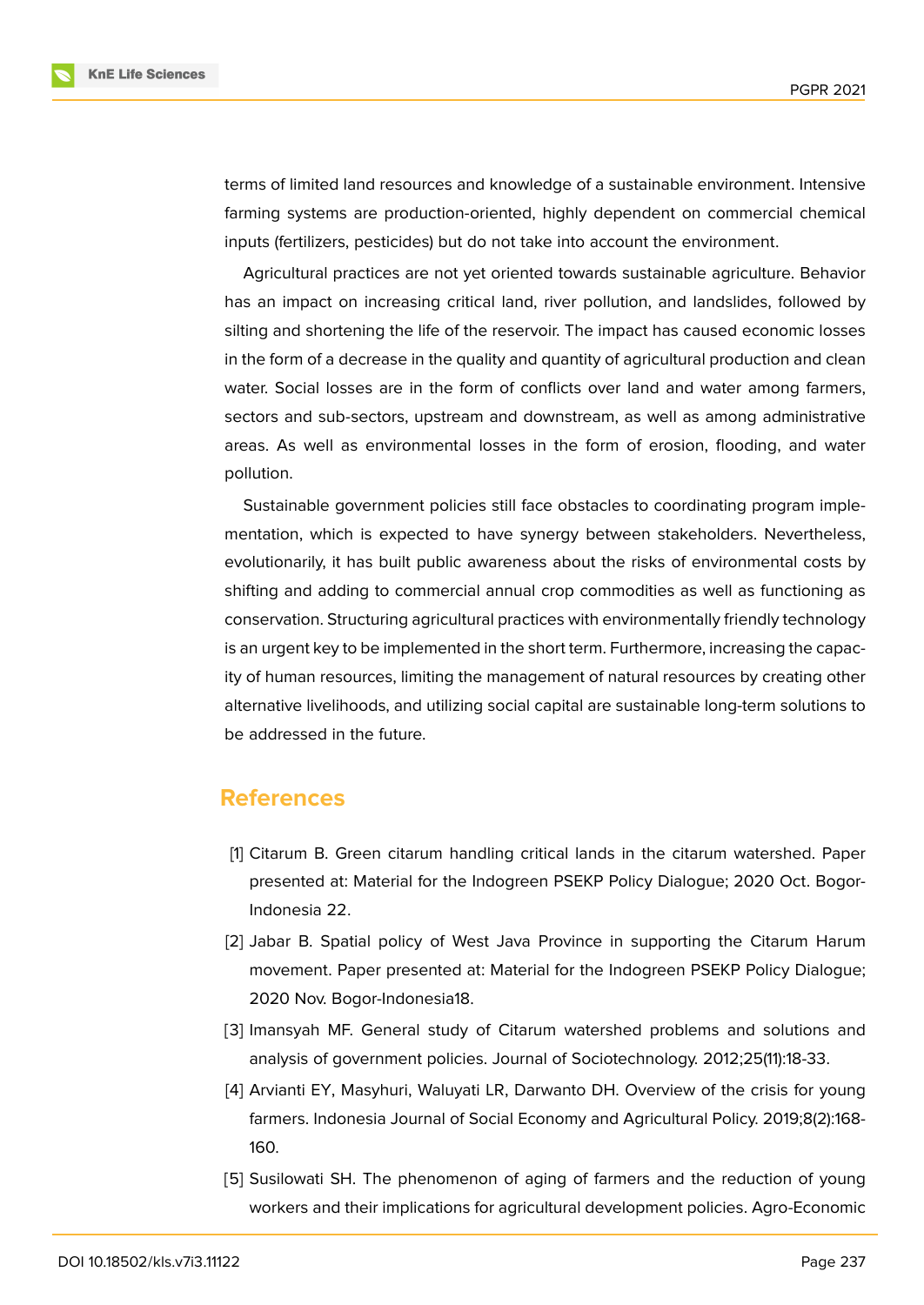

terms of limited land resources and knowledge of a sustainable environment. Intensive farming systems are production-oriented, highly dependent on commercial chemical inputs (fertilizers, pesticides) but do not take into account the environment.

Agricultural practices are not yet oriented towards sustainable agriculture. Behavior has an impact on increasing critical land, river pollution, and landslides, followed by silting and shortening the life of the reservoir. The impact has caused economic losses in the form of a decrease in the quality and quantity of agricultural production and clean water. Social losses are in the form of conflicts over land and water among farmers, sectors and sub-sectors, upstream and downstream, as well as among administrative areas. As well as environmental losses in the form of erosion, flooding, and water pollution.

Sustainable government policies still face obstacles to coordinating program implementation, which is expected to have synergy between stakeholders. Nevertheless, evolutionarily, it has built public awareness about the risks of environmental costs by shifting and adding to commercial annual crop commodities as well as functioning as conservation. Structuring agricultural practices with environmentally friendly technology is an urgent key to be implemented in the short term. Furthermore, increasing the capacity of human resources, limiting the management of natural resources by creating other alternative livelihoods, and utilizing social capital are sustainable long-term solutions to be addressed in the future.

### **References**

- <span id="page-9-0"></span>[1] Citarum B. Green citarum handling critical lands in the citarum watershed. Paper presented at: Material for the Indogreen PSEKP Policy Dialogue; 2020 Oct. Bogor-Indonesia 22.
- <span id="page-9-1"></span>[2] Jabar B. Spatial policy of West Java Province in supporting the Citarum Harum movement. Paper presented at: Material for the Indogreen PSEKP Policy Dialogue; 2020 Nov. Bogor-Indonesia18.
- <span id="page-9-2"></span>[3] Imansyah MF. General study of Citarum watershed problems and solutions and analysis of government policies. Journal of Sociotechnology. 2012;25(11):18-33.
- [4] Arvianti EY, Masyhuri, Waluyati LR, Darwanto DH. Overview of the crisis for young farmers. Indonesia Journal of Social Economy and Agricultural Policy. 2019;8(2):168- 160.
- [5] Susilowati SH. The phenomenon of aging of farmers and the reduction of young workers and their implications for agricultural development policies. Agro-Economic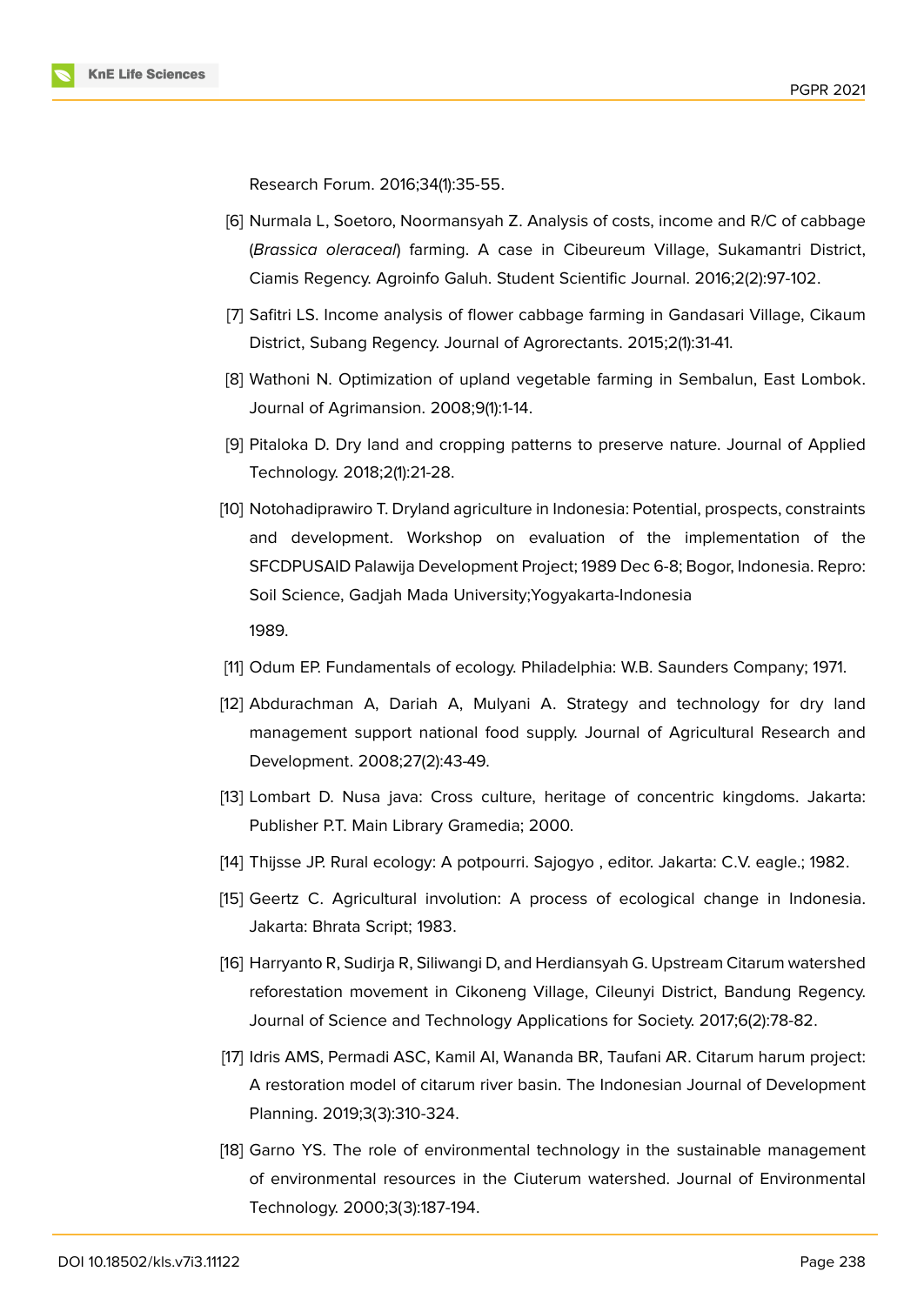Research Forum. 2016;34(1):35-55.

- [6] Nurmala L, Soetoro, Noormansyah Z. Analysis of costs, income and R/C of cabbage (*Brassica oleraceal*) farming. A case in Cibeureum Village, Sukamantri District, Ciamis Regency. Agroinfo Galuh. Student Scientific Journal. 2016;2(2):97-102.
- [7] Safitri LS. Income analysis of flower cabbage farming in Gandasari Village, Cikaum District, Subang Regency. Journal of Agrorectants. 2015;2(1):31-41.
- [8] Wathoni N. Optimization of upland vegetable farming in Sembalun, East Lombok. Journal of Agrimansion. 2008;9(1):1-14.
- [9] Pitaloka D. Dry land and cropping patterns to preserve nature. Journal of Applied Technology. 2018;2(1):21-28.
- [10] Notohadiprawiro T. Dryland agriculture in Indonesia: Potential, prospects, constraints and development. Workshop on evaluation of the implementation of the SFCDPUSAID Palawija Development Project; 1989 Dec 6-8; Bogor, Indonesia. Repro: Soil Science, Gadjah Mada University;Yogyakarta-Indonesia 1989.
- [11] Odum EP. Fundamentals of ecology. Philadelphia: W.B. Saunders Company; 1971.
- <span id="page-10-0"></span>[12] Abdurachman A, Dariah A, Mulyani A. Strategy and technology for dry land management support national food supply. Journal of Agricultural Research and Development. 2008;27(2):43-49.
- [13] Lombart D. Nusa java: Cross culture, heritage of concentric kingdoms. Jakarta: Publisher P.T. Main Library Gramedia; 2000.
- [14] Thijsse JP. Rural ecology: A potpourri. Sajogyo , editor. Jakarta: C.V. eagle.; 1982.
- [15] Geertz C. Agricultural involution: A process of ecological change in Indonesia. Jakarta: Bhrata Script; 1983.
- [16] Harryanto R, Sudirja R, Siliwangi D, and Herdiansyah G. Upstream Citarum watershed reforestation movement in Cikoneng Village, Cileunyi District, Bandung Regency. Journal of Science and Technology Applications for Society. 2017;6(2):78-82.
- [17] Idris AMS, Permadi ASC, Kamil AI, Wananda BR, Taufani AR. Citarum harum project: A restoration model of citarum river basin. The Indonesian Journal of Development Planning. 2019;3(3):310-324.
- [18] Garno YS. The role of environmental technology in the sustainable management of environmental resources in the Ciuterum watershed. Journal of Environmental Technology. 2000;3(3):187-194.